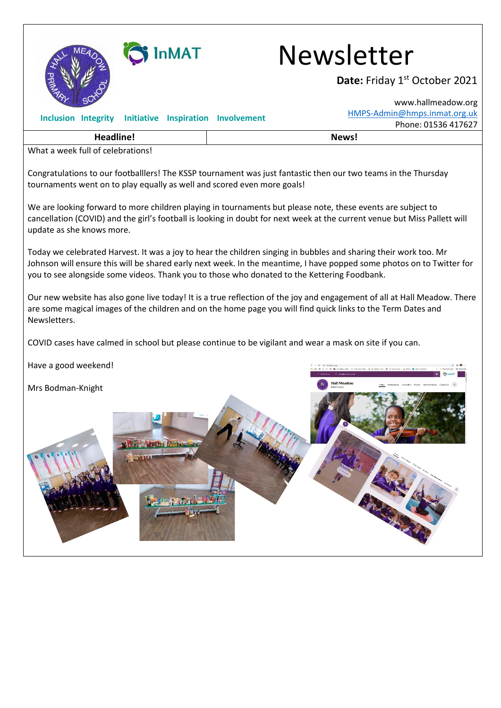

**GINMAT** Newsletter

Date: Friday 1st October 2021

|                                                                                                                                                                                                                                                                                                                                          |       | www.hallmeadow.org           |
|------------------------------------------------------------------------------------------------------------------------------------------------------------------------------------------------------------------------------------------------------------------------------------------------------------------------------------------|-------|------------------------------|
| <b>Inclusion Integrity</b><br><b>Initiative Inspiration Involvement</b>                                                                                                                                                                                                                                                                  |       | HMPS-Admin@hmps.inmat.org.uk |
|                                                                                                                                                                                                                                                                                                                                          |       | Phone: 01536 417627          |
| <b>Headline!</b>                                                                                                                                                                                                                                                                                                                         | News! |                              |
| What a week full of celebrations!                                                                                                                                                                                                                                                                                                        |       |                              |
| Congratulations to our footballlers! The KSSP tournament was just fantastic then our two teams in the Thursday<br>tournaments went on to play equally as well and scored even more goals!                                                                                                                                                |       |                              |
| We are looking forward to more children playing in tournaments but please note, these events are subject to<br>cancellation (COVID) and the girl's football is looking in doubt for next week at the current venue but Miss Pallett will<br>update as she knows more.                                                                    |       |                              |
| Today we celebrated Harvest. It was a joy to hear the children singing in bubbles and sharing their work too. Mr<br>Johnson will ensure this will be shared early next week. In the meantime, I have popped some photos on to Twitter for<br>you to see alongside some videos. Thank you to those who donated to the Kettering Foodbank. |       |                              |
| Our new website has also gone live today! It is a true reflection of the joy and engagement of all at Hall Meadow. There<br>are some magical images of the children and on the home page you will find quick links to the Term Dates and<br>Newsletters.                                                                                 |       |                              |
| COVID cases have calmed in school but please continue to be vigilant and wear a mask on site if you can.                                                                                                                                                                                                                                 |       |                              |
| Have a good weekend!                                                                                                                                                                                                                                                                                                                     |       |                              |
| Carriculam Parents Reyleformation ContactUs<br>Mrs Bodman-Knight<br><b>Search Stock of the TH</b>                                                                                                                                                                                                                                        |       |                              |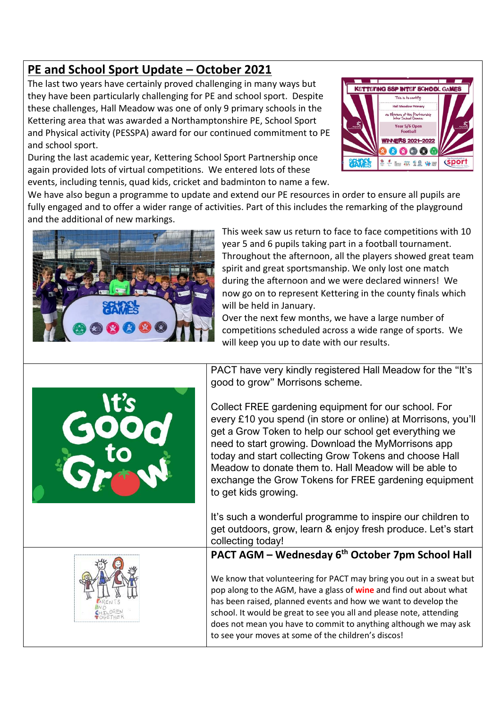## **PE and School Sport Update – October 2021**

The last two years have certainly proved challenging in many ways but they have been particularly challenging for PE and school sport. Despite these challenges, Hall Meadow was one of only 9 primary schools in the Kettering area that was awarded a Northamptonshire PE, School Sport and Physical activity (PESSPA) award for our continued commitment to PE and school sport.

During the last academic year, Kettering School Sport Partnership once again provided lots of virtual competitions. We entered lots of these events, including tennis, quad kids, cricket and badminton to name a few.



We have also begun a programme to update and extend our PE resources in order to ensure all pupils are fully engaged and to offer a wider range of activities. Part of this includes the remarking of the playground and the additional of new markings.



This week saw us return to face to face competitions with 10 year 5 and 6 pupils taking part in a football tournament. Throughout the afternoon, all the players showed great team spirit and great sportsmanship. We only lost one match during the afternoon and we were declared winners! We now go on to represent Kettering in the county finals which will be held in January.

Over the next few months, we have a large number of competitions scheduled across a wide range of sports. We will keep you up to date with our results.

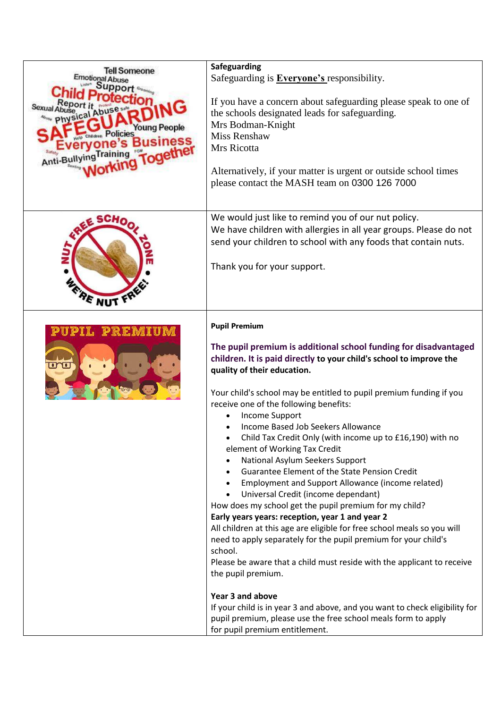| <b>Tell Someone</b><br>Emotional Ab<br>Young People<br>Policies<br>Anti-Bullying Ira | Safeguarding<br>Safeguarding is <b>Everyone's</b> responsibility.<br>If you have a concern about safeguarding please speak to one of<br>the schools designated leads for safeguarding.<br>Mrs Bodman-Knight<br><b>Miss Renshaw</b><br>Mrs Ricotta<br>Alternatively, if your matter is urgent or outside school times<br>please contact the MASH team on 0300 126 7000                                                                                                                                                                                                                                                                                                                                                                                                                                                                                                                                                                                                                                                                                                                                                                                                                                                                                              |
|--------------------------------------------------------------------------------------|--------------------------------------------------------------------------------------------------------------------------------------------------------------------------------------------------------------------------------------------------------------------------------------------------------------------------------------------------------------------------------------------------------------------------------------------------------------------------------------------------------------------------------------------------------------------------------------------------------------------------------------------------------------------------------------------------------------------------------------------------------------------------------------------------------------------------------------------------------------------------------------------------------------------------------------------------------------------------------------------------------------------------------------------------------------------------------------------------------------------------------------------------------------------------------------------------------------------------------------------------------------------|
| sCHo<br>FRE NUT F                                                                    | We would just like to remind you of our nut policy.<br>We have children with allergies in all year groups. Please do not<br>send your children to school with any foods that contain nuts.<br>Thank you for your support.                                                                                                                                                                                                                                                                                                                                                                                                                                                                                                                                                                                                                                                                                                                                                                                                                                                                                                                                                                                                                                          |
| L PREMIU                                                                             | <b>Pupil Premium</b><br>The pupil premium is additional school funding for disadvantaged<br>children. It is paid directly to your child's school to improve the<br>quality of their education.<br>Your child's school may be entitled to pupil premium funding if you<br>receive one of the following benefits:<br><b>Income Support</b><br>Income Based Job Seekers Allowance<br>Child Tax Credit Only (with income up to £16,190) with no<br>element of Working Tax Credit<br>National Asylum Seekers Support<br>Guarantee Element of the State Pension Credit<br>Employment and Support Allowance (income related)<br>$\bullet$<br>Universal Credit (income dependant)<br>$\bullet$<br>How does my school get the pupil premium for my child?<br>Early years years: reception, year 1 and year 2<br>All children at this age are eligible for free school meals so you will<br>need to apply separately for the pupil premium for your child's<br>school.<br>Please be aware that a child must reside with the applicant to receive<br>the pupil premium.<br>Year 3 and above<br>If your child is in year 3 and above, and you want to check eligibility for<br>pupil premium, please use the free school meals form to apply<br>for pupil premium entitlement. |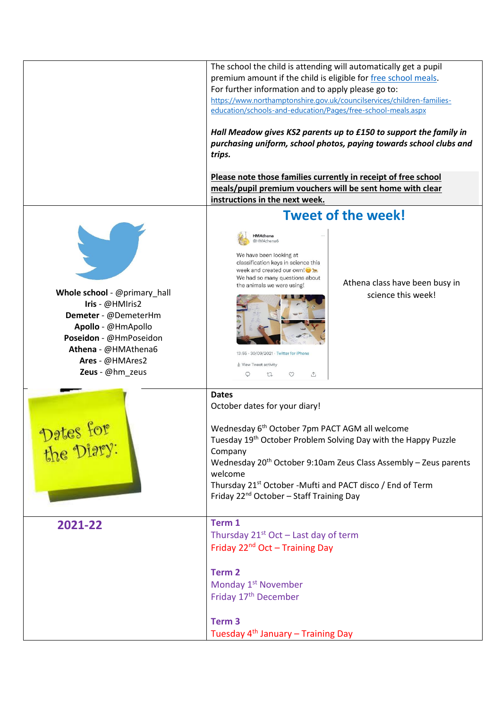|                                                                                                                                                                                      | The school the child is attending will automatically get a pupil<br>premium amount if the child is eligible for free school meals.<br>For further information and to apply please go to:<br>https://www.northamptonshire.gov.uk/councilservices/children-families-<br>education/schools-and-education/Pages/free-school-meals.aspx<br>Hall Meadow gives KS2 parents up to £150 to support the family in<br>purchasing uniform, school photos, paying towards school clubs and<br>trips. |  |
|--------------------------------------------------------------------------------------------------------------------------------------------------------------------------------------|-----------------------------------------------------------------------------------------------------------------------------------------------------------------------------------------------------------------------------------------------------------------------------------------------------------------------------------------------------------------------------------------------------------------------------------------------------------------------------------------|--|
|                                                                                                                                                                                      | Please note those families currently in receipt of free school<br>meals/pupil premium vouchers will be sent home with clear                                                                                                                                                                                                                                                                                                                                                             |  |
|                                                                                                                                                                                      | instructions in the next week.                                                                                                                                                                                                                                                                                                                                                                                                                                                          |  |
|                                                                                                                                                                                      | <b>Tweet of the week!</b><br><b>HMAthena</b><br>@HMAthena6                                                                                                                                                                                                                                                                                                                                                                                                                              |  |
| Whole school - @primary_hall<br>Iris - @HMIris2<br>Demeter - @DemeterHm<br>Apollo - @HmApollo<br>Poseidon - @HmPoseidon<br>Athena - @HMAthena6<br>Ares - @HMAres2<br>Zeus - @hm_zeus | We have been looking at<br>classification keys in science this<br>week and created our own!<br>We had so many questions about<br>Athena class have been busy in<br>the animals we were using!<br>science this week!<br>13:55 · 30/09/2021 · Twitter for iPhone<br>ll View Tweet activity<br>Q<br>$\circ$<br>↥<br>$\mathbb{C}$                                                                                                                                                           |  |
| Dates f<br>the Diary:                                                                                                                                                                | <b>Dates</b><br>October dates for your diary!<br>Wednesday 6 <sup>th</sup> October 7pm PACT AGM all welcome<br>Tuesday 19 <sup>th</sup> October Problem Solving Day with the Happy Puzzle<br>Company<br>Wednesday 20 <sup>th</sup> October 9:10am Zeus Class Assembly - Zeus parents<br>welcome<br>Thursday 21 <sup>st</sup> October -Mufti and PACT disco / End of Term<br>Friday 22 <sup>nd</sup> October - Staff Training Day                                                        |  |
| 2021-22                                                                                                                                                                              | Term 1<br>Thursday $21^{st}$ Oct – Last day of term<br>Friday 22 <sup>nd</sup> Oct - Training Day<br>Term <sub>2</sub><br>Monday 1 <sup>st</sup> November<br>Friday 17 <sup>th</sup> December                                                                                                                                                                                                                                                                                           |  |
|                                                                                                                                                                                      | Term <sub>3</sub><br>Tuesday 4 <sup>th</sup> January - Training Day                                                                                                                                                                                                                                                                                                                                                                                                                     |  |